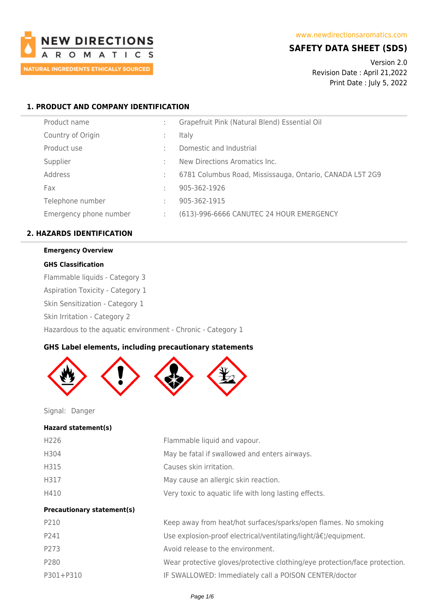

# **SAFETY DATA SHEET (SDS)**

Version 2.0 Revision Date : April 21,2022 Print Date : July 5, 2022

# **1. PRODUCT AND COMPANY IDENTIFICATION**

|   | Grapefruit Pink (Natural Blend) Essential Oil            |
|---|----------------------------------------------------------|
|   | <b>Italy</b>                                             |
|   | Domestic and Industrial                                  |
|   | New Directions Aromatics Inc.                            |
|   | 6781 Columbus Road, Mississauga, Ontario, CANADA L5T 2G9 |
|   | 905-362-1926                                             |
| ٠ | 905-362-1915                                             |
|   | (613)-996-6666 CANUTEC 24 HOUR EMERGENCY                 |
|   |                                                          |

# **2. HAZARDS IDENTIFICATION**

# **Emergency Overview**

## **GHS Classification**

Flammable liquids - Category 3

Aspiration Toxicity - Category 1

Skin Sensitization - Category 1

Skin Irritation - Category 2

Hazardous to the aquatic environment - Chronic - Category 1

# **GHS Label elements, including precautionary statements**



Signal: Danger

### **Hazard statement(s)**

| <b>Precautionary statement(s)</b> |                                                       |
|-----------------------------------|-------------------------------------------------------|
| H410                              | Very toxic to aquatic life with long lasting effects. |
| H317                              | May cause an allergic skin reaction.                  |
| H315                              | Causes skin irritation.                               |
| H304                              | May be fatal if swallowed and enters airways.         |
| H226                              | Flammable liquid and vapour.                          |
|                                   |                                                       |

| P210      | Keep away from heat/hot surfaces/sparks/open flames. No smoking            |
|-----------|----------------------------------------------------------------------------|
| P241      | Use explosion-proof electrical/ventilating/light/…/equipment.              |
| P273      | Avoid release to the environment.                                          |
| P280      | Wear protective gloves/protective clothing/eye protection/face protection. |
| P301+P310 | IF SWALLOWED: Immediately call a POISON CENTER/doctor                      |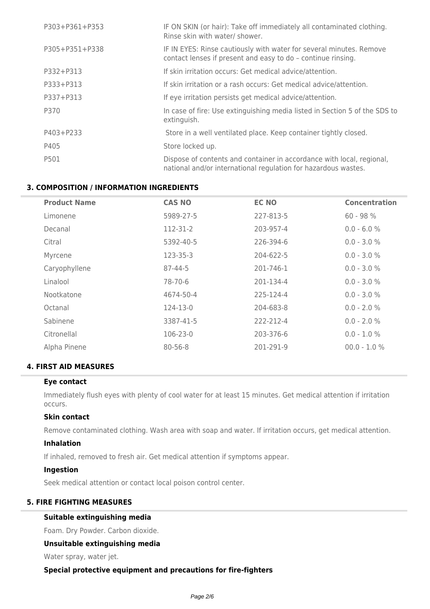| P303+P361+P353 | IF ON SKIN (or hair): Take off immediately all contaminated clothing.<br>Rinse skin with water/ shower.                                 |
|----------------|-----------------------------------------------------------------------------------------------------------------------------------------|
| P305+P351+P338 | IF IN EYES: Rinse cautiously with water for several minutes. Remove<br>contact lenses if present and easy to do - continue rinsing.     |
| P332+P313      | If skin irritation occurs: Get medical advice/attention.                                                                                |
| P333+P313      | If skin irritation or a rash occurs: Get medical advice/attention.                                                                      |
| P337+P313      | If eye irritation persists get medical advice/attention.                                                                                |
| P370           | In case of fire: Use extinguishing media listed in Section 5 of the SDS to<br>extinguish.                                               |
| P403+P233      | Store in a well ventilated place. Keep container tightly closed.                                                                        |
| P405           | Store locked up.                                                                                                                        |
| P501           | Dispose of contents and container in accordance with local, regional,<br>national and/or international regulation for hazardous wastes. |

# **3. COMPOSITION / INFORMATION INGREDIENTS**

| <b>Product Name</b> | <b>CAS NO</b> | <b>EC NO</b> | <b>Concentration</b> |
|---------------------|---------------|--------------|----------------------|
| Limonene            | 5989-27-5     | 227-813-5    | $60 - 98 %$          |
| Decanal             | 112-31-2      | 203-957-4    | $0.0 - 6.0 %$        |
| Citral              | 5392-40-5     | 226-394-6    | $0.0 - 3.0 %$        |
| Myrcene             | 123-35-3      | 204-622-5    | $0.0 - 3.0 %$        |
| Caryophyllene       | 87-44-5       | 201-746-1    | $0.0 - 3.0 %$        |
| Linalool            | 78-70-6       | 201-134-4    | $0.0 - 3.0 %$        |
| Nootkatone          | 4674-50-4     | 225-124-4    | $0.0 - 3.0 %$        |
| Octanal             | 124-13-0      | 204-683-8    | $0.0 - 2.0 %$        |
| Sabinene            | 3387-41-5     | 222-212-4    | $0.0 - 2.0 %$        |
| Citronellal         | 106-23-0      | 203-376-6    | $0.0 - 1.0 %$        |
| Alpha Pinene        | $80 - 56 - 8$ | 201-291-9    | $00.0 - 1.0 %$       |

# **4. FIRST AID MEASURES**

# **Eye contact**

Immediately flush eyes with plenty of cool water for at least 15 minutes. Get medical attention if irritation occurs.

# **Skin contact**

Remove contaminated clothing. Wash area with soap and water. If irritation occurs, get medical attention.

# **Inhalation**

If inhaled, removed to fresh air. Get medical attention if symptoms appear.

# **Ingestion**

Seek medical attention or contact local poison control center.

# **5. FIRE FIGHTING MEASURES**

# **Suitable extinguishing media**

Foam. Dry Powder. Carbon dioxide.

# **Unsuitable extinguishing media**

Water spray, water jet.

# **Special protective equipment and precautions for fire-fighters**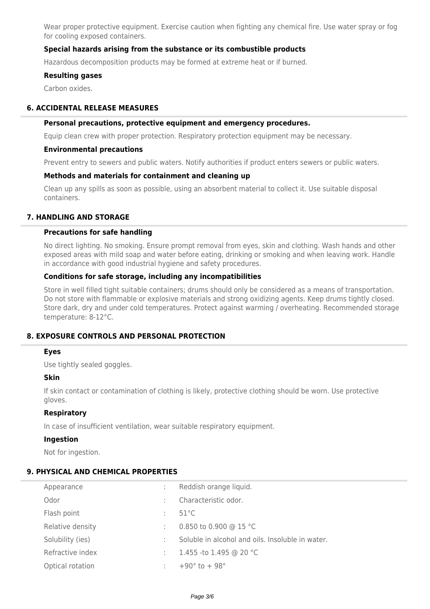Wear proper protective equipment. Exercise caution when fighting any chemical fire. Use water spray or fog for cooling exposed containers.

# **Special hazards arising from the substance or its combustible products**

Hazardous decomposition products may be formed at extreme heat or if burned.

### **Resulting gases**

Carbon oxides.

# **6. ACCIDENTAL RELEASE MEASURES**

### **Personal precautions, protective equipment and emergency procedures.**

Equip clean crew with proper protection. Respiratory protection equipment may be necessary.

#### **Environmental precautions**

Prevent entry to sewers and public waters. Notify authorities if product enters sewers or public waters.

# **Methods and materials for containment and cleaning up**

Clean up any spills as soon as possible, using an absorbent material to collect it. Use suitable disposal containers.

## **7. HANDLING AND STORAGE**

### **Precautions for safe handling**

No direct lighting. No smoking. Ensure prompt removal from eyes, skin and clothing. Wash hands and other exposed areas with mild soap and water before eating, drinking or smoking and when leaving work. Handle in accordance with good industrial hygiene and safety procedures.

### **Conditions for safe storage, including any incompatibilities**

Store in well filled tight suitable containers; drums should only be considered as a means of transportation. Do not store with flammable or explosive materials and strong oxidizing agents. Keep drums tightly closed. Store dark, dry and under cold temperatures. Protect against warming / overheating. Recommended storage temperature: 8-12°C.

# **8. EXPOSURE CONTROLS AND PERSONAL PROTECTION**

### **Eyes**

Use tightly sealed goggles.

### **Skin**

If skin contact or contamination of clothing is likely, protective clothing should be worn. Use protective gloves.

### **Respiratory**

In case of insufficient ventilation, wear suitable respiratory equipment.

### **Ingestion**

Not for ingestion.

# **9. PHYSICAL AND CHEMICAL PROPERTIES**

| Appearance       |   | Reddish orange liquid.                           |
|------------------|---|--------------------------------------------------|
| Odor             | ÷ | Characteristic odor.                             |
| Flash point      | ÷ | $51^{\circ}$ C                                   |
| Relative density | ÷ | 0.850 to 0.900 @ 15 °C                           |
| Solubility (ies) | ÷ | Soluble in alcohol and oils. Insoluble in water. |
| Refractive index | ÷ | 1.455 -to 1.495 @ 20 °C                          |
| Optical rotation | ÷ | $+90^{\circ}$ to $+98^{\circ}$                   |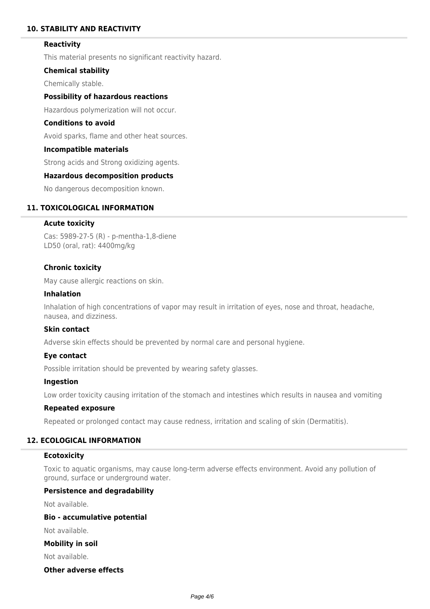# **10. STABILITY AND REACTIVITY**

## **Reactivity**

This material presents no significant reactivity hazard.

### **Chemical stability**

Chemically stable.

# **Possibility of hazardous reactions**

Hazardous polymerization will not occur.

# **Conditions to avoid**

Avoid sparks, flame and other heat sources.

#### **Incompatible materials**

Strong acids and Strong oxidizing agents.

## **Hazardous decomposition products**

No dangerous decomposition known.

## **11. TOXICOLOGICAL INFORMATION**

### **Acute toxicity**

Cas: 5989-27-5 (R) - p-mentha-1,8-diene LD50 (oral, rat): 4400mg/kg

### **Chronic toxicity**

May cause allergic reactions on skin.

#### **Inhalation**

Inhalation of high concentrations of vapor may result in irritation of eyes, nose and throat, headache, nausea, and dizziness.

# **Skin contact**

Adverse skin effects should be prevented by normal care and personal hygiene.

### **Eye contact**

Possible irritation should be prevented by wearing safety glasses.

### **Ingestion**

Low order toxicity causing irritation of the stomach and intestines which results in nausea and vomiting

## **Repeated exposure**

Repeated or prolonged contact may cause redness, irritation and scaling of skin (Dermatitis).

# **12. ECOLOGICAL INFORMATION**

# **Ecotoxicity**

Toxic to aquatic organisms, may cause long-term adverse effects environment. Avoid any pollution of ground, surface or underground water.

## **Persistence and degradability**

Not available.

# **Bio - accumulative potential**

Not available.

# **Mobility in soil**

Not available.

# **Other adverse effects**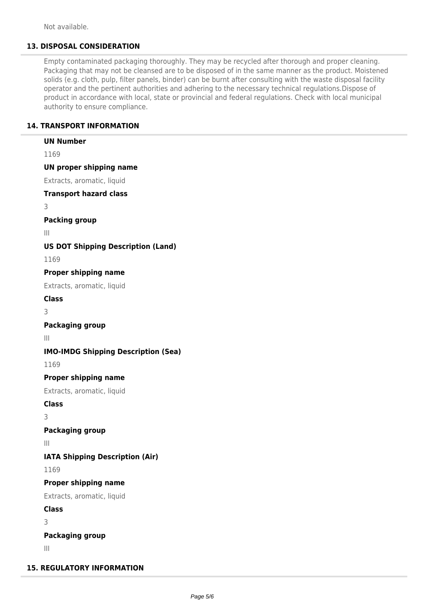Not available.

# **13. DISPOSAL CONSIDERATION**

Empty contaminated packaging thoroughly. They may be recycled after thorough and proper cleaning. Packaging that may not be cleansed are to be disposed of in the same manner as the product. Moistened solids (e.g. cloth, pulp, filter panels, binder) can be burnt after consulting with the waste disposal facility operator and the pertinent authorities and adhering to the necessary technical regulations.Dispose of product in accordance with local, state or provincial and federal regulations. Check with local municipal authority to ensure compliance.

# **14. TRANSPORT INFORMATION**

**UN Number** 1169 **UN proper shipping name** Extracts, aromatic, liquid **Transport hazard class** 3 **Packing group** III **US DOT Shipping Description (Land)** 1169 **Proper shipping name** Extracts, aromatic, liquid **Class** 3 **Packaging group** III **IMO-IMDG Shipping Description (Sea)** 1169 **Proper shipping name** Extracts, aromatic, liquid **Class** 3 **Packaging group** III **IATA Shipping Description (Air)** 1169 **Proper shipping name** Extracts, aromatic, liquid **Class** 3 **Packaging group** III  **15. REGULATORY INFORMATION**